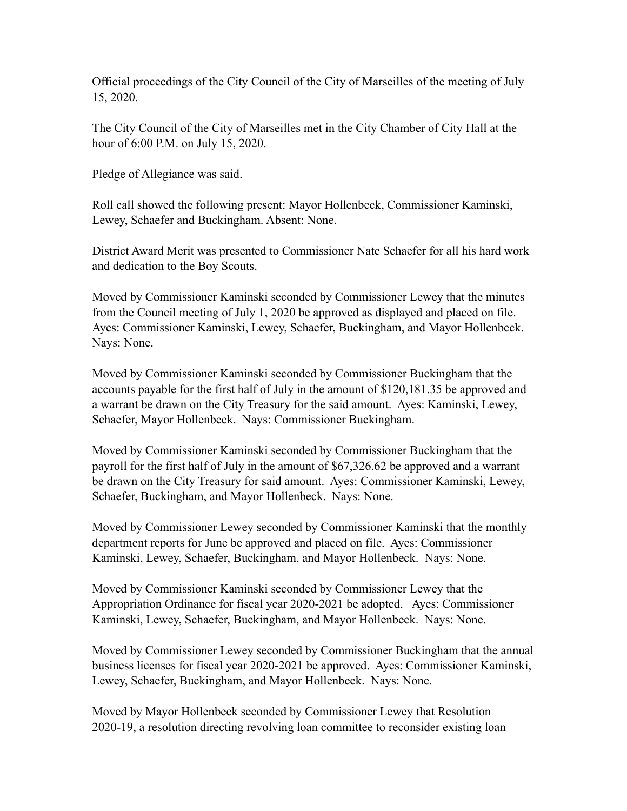Official proceedings of the City Council of the City of Marseilles of the meeting of July 15, 2020.

The City Council of the City of Marseilles met in the City Chamber of City Hall at the hour of 6:00 P.M. on July 15, 2020.

Pledge of Allegiance was said.

Roll call showed the following present: Mayor Hollenbeck, Commissioner Kaminski, Lewey, Schaefer and Buckingham. Absent: None.

District Award Merit was presented to Commissioner Nate Schaefer for all his hard work and dedication to the Boy Scouts.

Moved by Commissioner Kaminski seconded by Commissioner Lewey that the minutes from the Council meeting of July 1, 2020 be approved as displayed and placed on file. Ayes: Commissioner Kaminski, Lewey, Schaefer, Buckingham, and Mayor Hollenbeck. Nays: None.

Moved by Commissioner Kaminski seconded by Commissioner Buckingham that the accounts payable for the first half of July in the amount of \$120,181.35 be approved and a warrant be drawn on the City Treasury for the said amount. Ayes: Kaminski, Lewey, Schaefer, Mayor Hollenbeck. Nays: Commissioner Buckingham.

Moved by Commissioner Kaminski seconded by Commissioner Buckingham that the payroll for the first half of July in the amount of \$67,326.62 be approved and a warrant be drawn on the City Treasury for said amount. Ayes: Commissioner Kaminski, Lewey, Schaefer, Buckingham, and Mayor Hollenbeck. Nays: None.

Moved by Commissioner Lewey seconded by Commissioner Kaminski that the monthly department reports for June be approved and placed on file. Ayes: Commissioner Kaminski, Lewey, Schaefer, Buckingham, and Mayor Hollenbeck. Nays: None.

Moved by Commissioner Kaminski seconded by Commissioner Lewey that the Appropriation Ordinance for fiscal year 2020-2021 be adopted. Ayes: Commissioner Kaminski, Lewey, Schaefer, Buckingham, and Mayor Hollenbeck. Nays: None.

Moved by Commissioner Lewey seconded by Commissioner Buckingham that the annual business licenses for fiscal year 2020-2021 be approved. Ayes: Commissioner Kaminski, Lewey, Schaefer, Buckingham, and Mayor Hollenbeck. Nays: None.

Moved by Mayor Hollenbeck seconded by Commissioner Lewey that Resolution 2020-19, a resolution directing revolving loan committee to reconsider existing loan